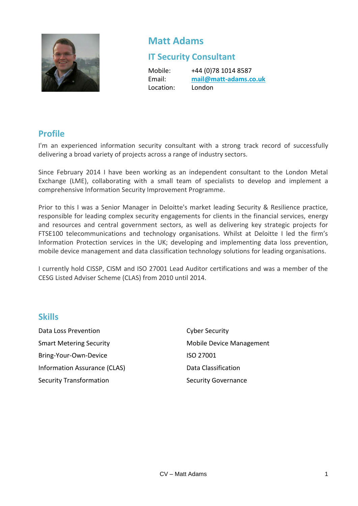

# **Matt Adams**

# **IT Security Consultant**

Location: London

Mobile: +44 (0)78 1014 8587 Email: **[mail@matt-adams.co.uk](mailto:mail@matt-adams.co.uk)**

## **Profile**

I'm an experienced information security consultant with a strong track record of successfully delivering a broad variety of projects across a range of industry sectors.

Since February 2014 I have been working as an independent consultant to the London Metal Exchange (LME), collaborating with a small team of specialists to develop and implement a comprehensive Information Security Improvement Programme.

Prior to this I was a Senior Manager in Deloitte's market leading Security & Resilience practice, responsible for leading complex security engagements for clients in the financial services, energy and resources and central government sectors, as well as delivering key strategic projects for FTSE100 telecommunications and technology organisations. Whilst at Deloitte I led the firm's Information Protection services in the UK; developing and implementing data loss prevention, mobile device management and data classification technology solutions for leading organisations.

I currently hold CISSP, CISM and ISO 27001 Lead Auditor certifications and was a member of the CESG Listed Adviser Scheme (CLAS) from 2010 until 2014.

### **Skills**

Data Loss Prevention Cyber Security Smart Metering Security Mobile Device Management Bring-Your-Own-Device ISO 27001 Information Assurance (CLAS) Data Classification Security Transformation Security Governance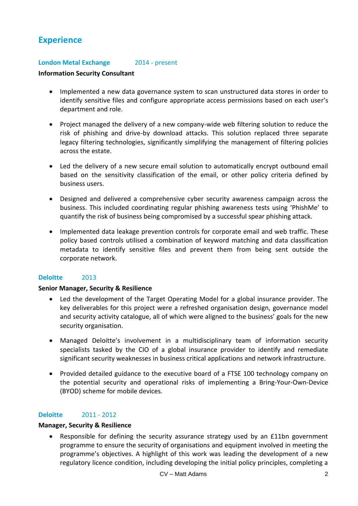# **Experience**

#### **London Metal Exchange** 2014 - present

#### **Information Security Consultant**

- Implemented a new data governance system to scan unstructured data stores in order to identify sensitive files and configure appropriate access permissions based on each user's department and role.
- Project managed the delivery of a new company-wide web filtering solution to reduce the risk of phishing and drive-by download attacks. This solution replaced three separate legacy filtering technologies, significantly simplifying the management of filtering policies across the estate.
- Led the delivery of a new secure email solution to automatically encrypt outbound email based on the sensitivity classification of the email, or other policy criteria defined by business users.
- Designed and delivered a comprehensive cyber security awareness campaign across the business. This included coordinating regular phishing awareness tests using 'PhishMe' to quantify the risk of business being compromised by a successful spear phishing attack.
- Implemented data leakage prevention controls for corporate email and web traffic. These policy based controls utilised a combination of keyword matching and data classification metadata to identify sensitive files and prevent them from being sent outside the corporate network.

#### **Deloitte** 2013

#### **Senior Manager, Security & Resilience**

- Led the development of the Target Operating Model for a global insurance provider. The key deliverables for this project were a refreshed organisation design, governance model and security activity catalogue, all of which were aligned to the business' goals for the new security organisation.
- Managed Deloitte's involvement in a multidisciplinary team of information security specialists tasked by the CIO of a global insurance provider to identify and remediate significant security weaknesses in business critical applications and network infrastructure.
- Provided detailed guidance to the executive board of a FTSE 100 technology company on the potential security and operational risks of implementing a Bring-Your-Own-Device (BYOD) scheme for mobile devices.

#### **Deloitte** 2011 - 2012

#### **Manager, Security & Resilience**

 Responsible for defining the security assurance strategy used by an £11bn government programme to ensure the security of organisations and equipment involved in meeting the programme's objectives. A highlight of this work was leading the development of a new regulatory licence condition, including developing the initial policy principles, completing a